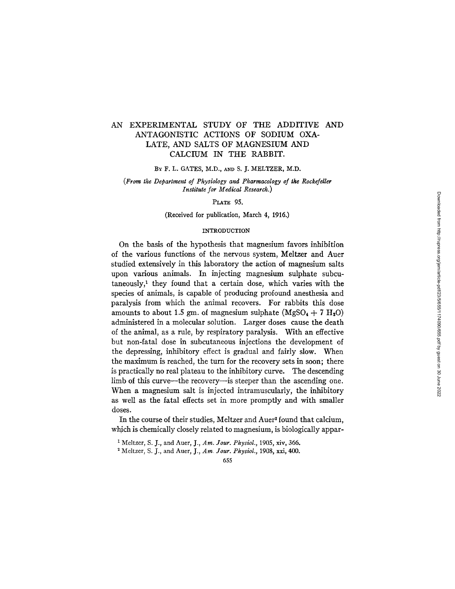# AN EXPERIMENTAL STUDY OF THE ADDITIVE AND ANTAGONISTIC ACTIONS OF SODIUM OXA-LATE, AND SALTS OF MAGNESIUM AND CALCIUM IN THE RABBIT.

BY F. L. GATES, M.D., AND S. J. MELTZER, M.D.

*(From the Department of Physiology and Pharmacology of the Rockefeller Institute for Medical Research.)* 

PLATE 95.

### (Received for publication, March 4, 1916.)

### INTRODUCTION

On the basis of the hypothesis that magnesium favors inhibition of the various functions of the nervous system, Meltzer and Auer studied extensively in this laboratory the action of magnesium salts upon various animals. In injecting magnesium sulphate subcu $taneously,$ <sup>1</sup> they found that a certain dose, which varies with the species of animals, is capable of producing profound anesthesia and paralysis from which the animal recovers. For rabbits this dose amounts to about 1.5 gm. of magnesium sulphate  $(MgSO_4 + 7 H_2O)$ administered in a molecular solution. Larger doses cause the death of the animal, as a rule, by respiratory paralysis. With an effective but non-fatal dose in subcutaneous injections the development of the depressing, inhibitory effect is gradual and fairly slow. When the maximum is reached, the turn for the recovery sets in soon; there is practically no real plateau to the inhibitory curve. The descending limb of this curve---the recovery----is steeper than the ascending one. When a magnesium salt is injected intramuscularly, the inhibitory as well as the fatal effects set in more promptly and with smaller doses.

In the course of their studies, Meltzer and Auer<sup>2</sup> found that calcium, which is chemically closely related to magnesium, is biologically appar-

<sup>1</sup> Meltzer, S. J., and Auer, J., *Am. Jour. Physiol.,* 1905, xiv, 366.

Meltzer, S. J., and Auer, J., *Am. Jour. Physiol.,* 1908, xxi, 400.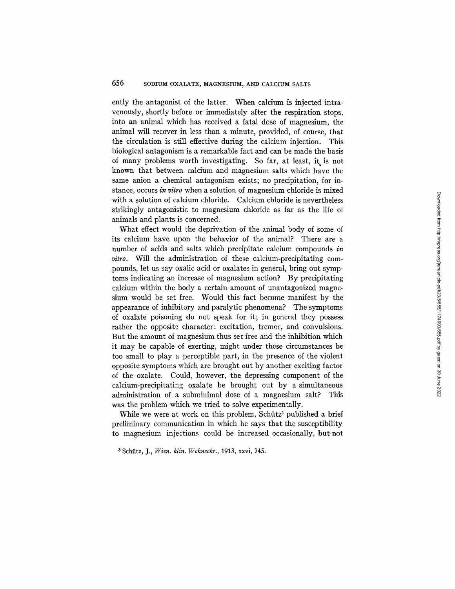ently the antagonist of the latter. When calcium is injected intravenously, shortly before or immediately after the respiration stops, into an animal which has received a fatal dose of magnesium, the animal will recover in less than a minute, provided, of course, that the circulation is still effective during the calcium injection. This biological antagonism is a remarkable fact and can be made the basis of many problems worth investigating. So far, at least, it is not known that between calcium and magnesium salts which have the same anion a chemical antagonism exists; no precipitation, for instance, occurs *in vitro* when a solution of magnesium chloride is mixed with a solution of calcium chloride. Calcium chloride is nevertheless strikingly antagonistic to magnesium chloride as far as the life of animals and plants is concerned.

What effect would the deprivation of the animal body of some of its calcium have upon the behavior of the animal? There are a number of acids and salts which precipitate calcium compounds *in vitro.* Will the administration of these calcium-precipitating compounds, let us say oxalic acid or oxalates in general, bring out symptoms indicating an increase of magnesium action? By precipitating calcium within the body a certain amount of unantagonized magnesium would be set free. Would this fact become manifest by the appearance of inhibitory and paralytic phenomena? The symptoms of oxalate poisoning do not speak for it; in general they possess rather the opposite character: excitation, tremor, and convulsions. But the amount of magnesium thus set free and the inhibition which it may be capable of exerting, might under these circumstances be too small to play a perceptible part, in the presence of the violent opposite symptoms which are brought out by another exciting factor of the oxalate. Could, however, the depressing component of the calcium-precipitating oxalate be brought out by a simultaneous administration of a subminimal dose of a magnesium salt? This was the problem which we tried to solve experimentally,

While we were at work on this problem, Schütz<sup>3</sup> published a brief preliminary communication in which he says that the susceptibility to magnesium injections could be increased occasionally, but. not

8 Schiitz, J., *Wien. klin. Wchnschr.,* 1913, xxvi, 745.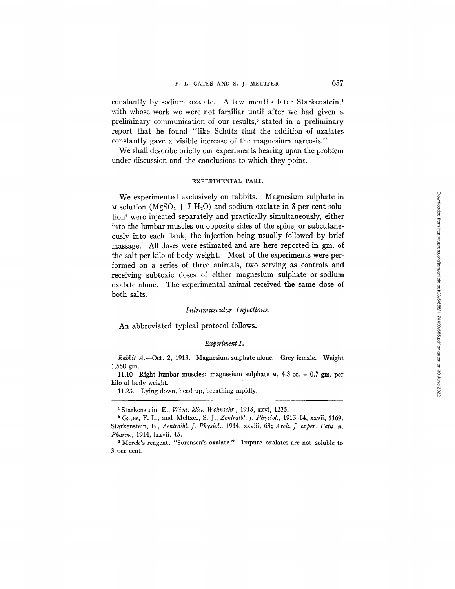constantly by sodium oxalate. A few months later Starkenstein,\* with whose work we were not familiar until after we had given a preliminary communication of our results,<sup>5</sup> stated in a preliminary report that he found "like Schütz that the addition of oxalates constantly gave a visible increase of the magnesium narcosis."

We shall describe briefly our experiments bearing upon the problem under discussion and the conclusions to which they point.

### EXPERIMENTAL PART.

We experimented exclusively on rabbits. Magnesium sulphate in M solution ( $MgSO_4 + 7 H_2O$ ) and sodium oxalate in 3 per cent solution<sup>6</sup> were injected separately and practically simultaneously, either into the lumbar muscles on opposite sides of the spine, or subcutaneously into each flank, the injection being usually followed by brief massage. All doses were estimated and are here reported in gm. of the salt per kilo of body weight. Most of the experiments were performed on a series of three animals, two serving as controls and receiving subtoxic doses of either magnesium sulphate or sodium oxalate alone. The experimental animal received the same dose of both salts.

#### *Intramuscular Injections.*

An abbreviated typical protocol follows.

#### *Experiment I.*

*Rabbit A.--Oct.* 2, 1913. Magnesium sulphate alone. Grey female. Weight 1,550 gm.

11.10 Right lumbar muscles: magnesium sulphate  $\mu$ , 4.3 cc. = 0.7 gm. per kilo of body weight.

11.23. Lying down, head up, breathing rapidly.

<sup>4</sup> Starkenstein, E., *Wien. klin. Wchnschr.,* 1913, xxvi, 1235.

<sup>5</sup> Gates, F. L., and Meltzer, S. J., *Zentralbl. f. Physiol.,* 1913-14, xxvii, 1169. Starkenstein, E., *Zentralbl. f. Physiol.,* 1914, xxviii, 63; *Arch. f. exper. Path. u. Pharm.,* 1914, lxxvii, 45.

<sup>&</sup>lt;sup>6</sup> Merck's reagent, "Sörensen's oxalate." Impure oxalates are not soluble to 3 per cent.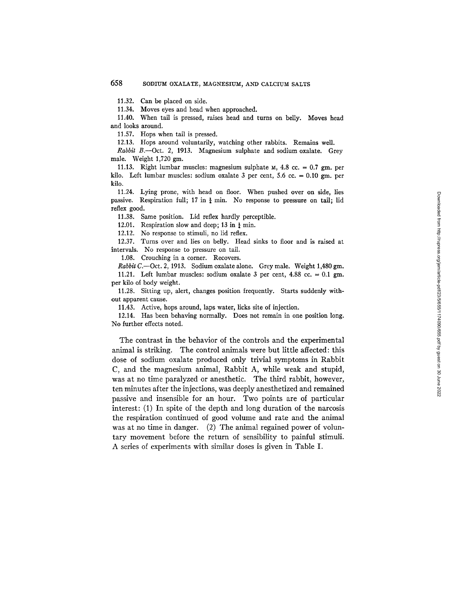11.32. Can be placed on side.

**11.34.**  Moves eyes and head when approached.

11.40. and looks around. When tail is pressed, raises head and turns on belly. Moves head

11.57. Hops when tail is pressed.

12.13. Hops around voluntarily, watching other rabbits. Remains well.

*Rabbit B*.--Oct. 2, 1913. Magnesium sulphate and sodium oxalate. Grey male. Weight 1,720 gm.

11.13. Right lumbar muscles: magnesium sulphate  $M$ , 4.8 cc. = 0.7 gm, per kilo. Left lumbar muscles: sodium oxalate 3 per cent, 5.6 cc. =  $0.10$  gm. per kilo.

11.24. Lying prone, with head on floor. When pushed over on side, lies passive. Respiration full; 17 in  $\frac{1}{4}$  min. No response to pressure on tail; lid reflex good.

11.38. Same position. Lid reflex hardly perceptible.

12.01. Respiration slow and deep; 13 in  $\frac{1}{4}$  min.

12.12. No response to stimuli, no lid reflex.

12.37. Turns over and lies on belly. Head sinks to floor and is raised at intervals. No response to pressure on tail.

1.08. Crouching in a corner. Recovers.

*Rabbit* C.--Oct. 2, 1913. Sodium oxalate alone. Grey male. Weight 1,480 gm. 11.21. Left lumbar muscles: sodium oxalate 3 per cent, 4.88 cc.  $= 0.1$  gm. per kilo of body weight.

11.28. Sitting up, alert, changes position frequently. Starts suddenly without apparent cause.

11.43. Active, hops around, laps water, licks site of injection.

12.14. Has been behaving normally. Does not remain in one position long. No further effects noted.

The contrast in the behavior of the controls and the experimental animal is striking. The control animals were but little affected: this dose of sodium oxalate produced only trivial symptoms in Rabbit C, and the magnesium animal, Rabbit A, while weak and stupid, was at no time paralyzed or anesthetic. The third rabbit, however, ten minutes after the injections, was deeply anesthetized and remained passive and insensible for an hour. Two points are of particular interest: (1) In spite of the depth and long duration of the narcosis the respiration continued of good volume and rate and the animal was at no time in danger. (2) The animal regained power of voluntary movement before the return of sensibility to painful stimuli. A series of experiments with similar doses is given in Table I.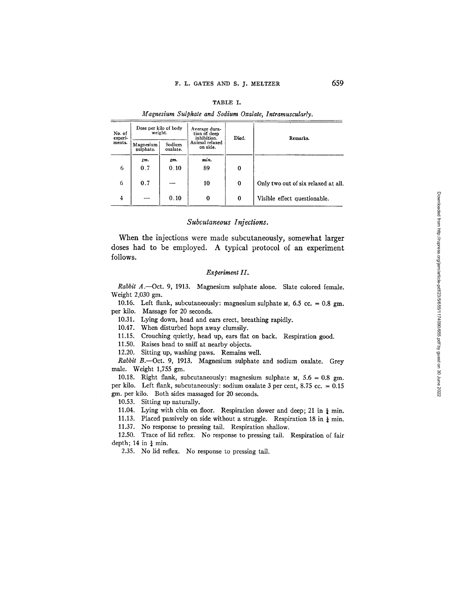| magnesium Surphale and Southm Cualate, Thiramasculary, |                                  |                    |                                              |          |                                     |  |  |  |
|--------------------------------------------------------|----------------------------------|--------------------|----------------------------------------------|----------|-------------------------------------|--|--|--|
| No. of<br>experi-                                      | Dose per kilo of body<br>weight. |                    | Average dura-<br>tion of deep<br>inhibition. | Died.    | Remarks.                            |  |  |  |
| ments.                                                 | Magnesium<br>sulphate.           | Sodium<br>oxalate. | Animal relaxed<br>on side.                   |          |                                     |  |  |  |
|                                                        | ςm.                              | $\epsilon$ m.      | min.                                         |          |                                     |  |  |  |
| 6                                                      | 0.7                              | 0.10               | 89                                           | $\Omega$ |                                     |  |  |  |
| 6                                                      | 0.7                              |                    | 10                                           | 0        | Only two out of six relaxed at all. |  |  |  |
| 4                                                      |                                  | 0.10               | $\bf{0}$                                     | 0        | Visible effect questionable.        |  |  |  |

### TABLE I.

*Magnesium Sulphate and Sodium Oxalate, Intramuscularly.* 

# *Subcutaneous Injections.*

When the injections were made subcutaneously, somewhat larger doses had to be employed. A typical protocol of an experiment follows.

### *Experiment II.*

Rabbit A.-Oct. 9, 1913. Magnesium sulphate alone. Slate colored female. Weight 2,030 gm.

10.16. Left flank, subcutaneously: magnesium sulphate  $\mu$ , 6.5 cc. = 0.8 gm. per kilo. Massage for 20 seconds.

10.31. Lying down, head and ears erect, breathing rapidly.

10.47. When disturbed hops away clumsily.

11.15. Crouching quietly, head up, ears flat on back. Respiration good.

11.50. Raises head to sniff at nearby objects.

12.20. Sitting up, washing paws. Remains well.

*Rabbit B.*-Oct. 9, 1913. Magnesium sulphate and sodium oxalate. Grey male. Weight 1,755 gm.

10.18. Right flank, subcutaneously: magnesium sulphate  $\text{m}$ , 5.6 = 0.8 gm. per kilo. Left flank, subcutaneously: sodium oxalate 3 per cent,  $8.75$  cc. = 0.15 gm. per kilo. Both sides massaged for 20 seconds.

10.53. Sitting up naturally.

11.04. Lying with chin on floor. Respiration slower and deep; 21 in  $\frac{1}{2}$  min.

11.13. Placed passively on side without a struggle. Respiration 18 in  $\frac{1}{4}$  min.

11.37. No response to pressing tail. Respiration shallow.

12.50. Trace of lid reflex. No response to pressing tail. Respiration of fair depth; 14 in  $\frac{1}{4}$  min.

2.35. No lid reflex. No response to pressing tail.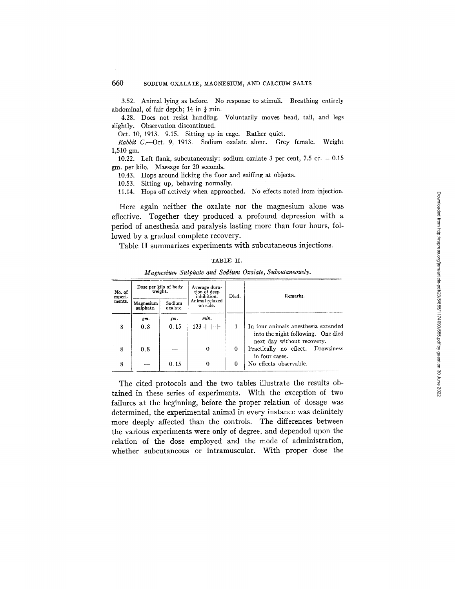3.52. Animal lying as before. No response to stimuli. Breathing entirely abdominal, of fair depth; 14 in  $\frac{1}{4}$  min.

4.28. Does not resist handling. Voluntarily moves head, tail, and legs slightly. Observation discontinued.

Oct. 10, 1913. 9.15. Sitting up in cage. Rather quiet.

*Rabbit* C.--Oct. 9, 1913. Sodium oxalate alone. Grey female. Weight 1,510 gm.

10.22. Left flank, subcutaneously: sodium oxalate 3 per cent, 7.5 cc.  $= 0.15$ gm. per kilo. Massage for 20 seconds.

10.43. Hops around licking the floor and sniffing at objects.

10.53. Sitting up, behaving normally.

11.14. Hops off actively when approached. No effects noted from injection.

Here again neither the oxalate nor the magnesium alone was effective. Together they produced a profound depression with a period of anesthesia and paralysis lasting more than four hours, followed by a gradual complete recovery.

Table II summarizes experiments with subcutaneous injections.

TABLE II.

| Magnesium Sulphate and Sodium Oxalate, Subcutaneously. |  |  |
|--------------------------------------------------------|--|--|
|--------------------------------------------------------|--|--|

| No. of<br>experi- | Dose per kilo of body<br>weight. |                    | Average dura-<br>tion of deep<br>inhibition. | Died.    | Remarks.                                                                                                |
|-------------------|----------------------------------|--------------------|----------------------------------------------|----------|---------------------------------------------------------------------------------------------------------|
| ments.            | Magnesium<br>sulphate.           | Sodium<br>oxalate. | Animal relaxed<br>on side.                   |          |                                                                                                         |
|                   | gm.                              | gm.                | min.                                         |          |                                                                                                         |
| 8                 | 0.8                              | 0.15               | $123 + + +$                                  |          | In four animals anesthesia extended<br>into the night following. One died<br>next day without recovery. |
| 8                 | 0.8                              |                    | $\Omega$                                     | $\Omega$ | Practically no effect. Drowsiness<br>in four cases.                                                     |
| 8                 |                                  | 0.15               | $\theta$                                     | 0        | No effects observable.                                                                                  |

The cited protocols and the two tables illustrate the results obtained in these series of experiments. With the exception of two failures at the beginning, before the proper relation of dosage was determined, the experimental animal in every instance was definitely more deeply affected than the controls. The differences between the various experiments were only of degree, and depended upon the relation of the dose employed and the mode of administration, whether subcutaneous or intramuscular. With proper dose the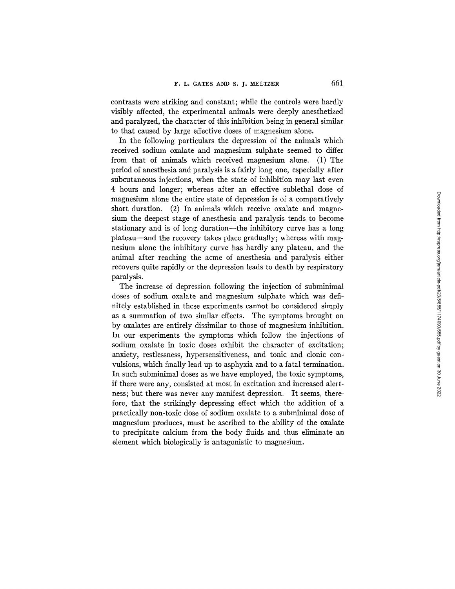contrasts were striking and constant; while the controls were hardly visibly affected, the experimental animals were deeply anesthetized and paralyzed, the character of this inhibition being in general similar to that caused by large effective doses of magnesium alone.

In the following particulars the depression of the animals which received sodium oxalate and magnesium sulphate seemed to differ from that of animals which received magnesium alone. (1) The period of anesthesia and paralysis is a fairly long one, especially after subcutaneous injections, when the state of inhibition may last even 4 hours and longer; whereas after an effective sublethal dose of magnesium alone the entire state of depression is of a comparatively short duration. (2) In animals which receive oxalate and magnesium the deepest stage of anesthesia and paralysis tends to become stationary and is of long duration--the inhibitory curve has a long plateau--and the recovery takes place gradually; whereas with magnesium alone the inhibitory curve has hardly any plateau, and the animal after reaching the acme of anesthesia and paralysis either recovers quite rapidly or the depression leads to death by respiratory paralysis.

The increase of depression following the injection of subminimal doses of sodium oxalate and magnesium sulphate which was definitely established in these experiments cannot be considered simply as a summation of two similar effects. The symptoms brought on by oxalates are entirely dissimilar to those of magnesium inhibition. In our experiments the symptoms which follow the injections of sodium oxalate in toxic doses exhibit the character of excitation; anxiety, restlessness, hypersensitiveness, and tonic and clonic convulsions, which finally lead up to asphyxia and to a fatal termination. In such subminimal doses as we have employed, the toxic symptoms, if there were any, consisted at most in excitation and increased alertness; but there was never any manifest depression. It seems, therefore, that the strikingly depressing effect which the addition of a practically non-toxic dose of sodium oxalate to a subminimal dose of magnesium produces, must be ascribed to the ability of the oxalate to precipitate calcium from the body fluids and thus eliminate an element which biologically is antagonistic to magnesium.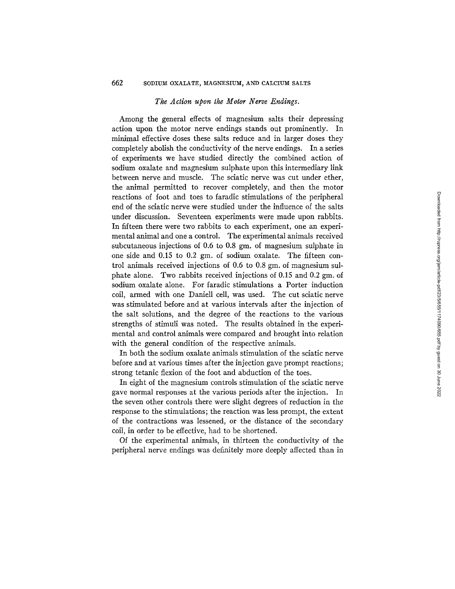### *The A ction upon the Motor Nerve Endings.*

Among the general effects of magnesium salts their depressing action upon the motor nerve endings stands out prominently. In minimal effective doses these salts reduce and in larger doses they completely abolish the conductivity of the nerve endings. In a series of experiments we have studied directly the combined action of sodium oxalate and magnesium sulphate upon this intermediary link between nerve and muscle. The sciatic nerve was cut under ether, the animal permitted to recover completely, and then the motor reactions of foot and toes to faradic stimulations of the peripheral end of the sciatic nerve were studied under the influence of the salts under discussion. Seventeen experiments were made upon rabbits. In fifteen there were two rabbits to each experiment, one an experimental animal and one a control. The experimental animals received subcutaneous injections of 0.6 to 0.8 gm. of magnesium sulphate in one side and  $0.15$  to  $0.2$  gm. of sodium oxalate. The fifteen control animals received injections of 0.6 to 0.8 gm. of magnesium sulphate alone. Two rabbits received injections of 0.15 and 0.2 gm. of sodium oxalate alone. For faradic stimulations a Porter induction coil, armed with one Daniell cell, was used. The cut sciatic nerve was stimulated before and at various intervals after the injection of the salt solutions, and the degree of the reactions to the various strengths of stimuli was noted. The results obtained in the experimental and control animals were compared and brought into relation with the general condition of the respective animals.

In both the sodium oxalate animals stimulation of the sciatic nerve before and at various times after the injection gave prompt reactions; strong tetanic flexion of the foot and abduction of the toes.

In eight of the magnesium controls stimulation of the sciatic nerve gave normal responses at the various periods after the injection. In the seven other controls there were slight degrees of reduction in the response to the stimulations; the reaction was less prompt, the extent of the contractions was lessened, or the distance of the secondary coil, in order to be effective, had to be shortened.

Of the experimental animals, in thirteen the conductivity of the peripheral nerve endings was definitely more deeply affected than in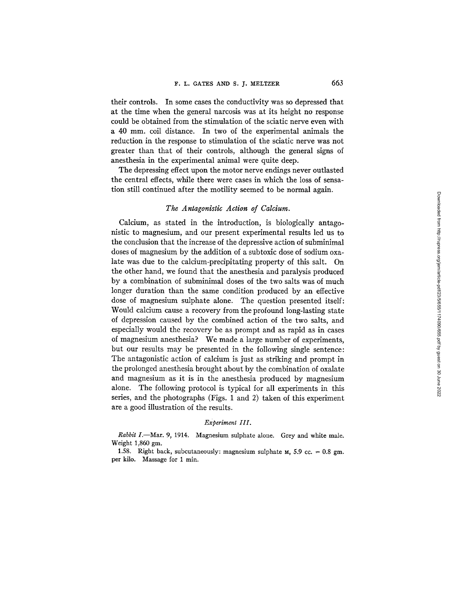their controls. In some cases the conductivity was so depressed that at the time when the general narcosis was at its height no response could be obtained from the stimulation of the sciatic nerve even with a 40 mm. coil distance. In two of the experimental animals the reduction in the response to stimulation of the sciatic nerve was not greater than that of their controls, although the general signs of anesthesia in the experimental animal were quite deep.

The depressing effect upon the motor nerve endings never outlasted the central effects, while there were cases in which the loss of sensation still continued after the motility seemed to be normal again.

### *The Antagonistic Action of Calcium.*

Calcium, as stated in the introduction, is biologically antagonistic to magnesium, and our present experimental results led us to the conclusion that the increase of the depressive action of subminimal doses of magnesium by the addition of a subtoxic dose of sodium oxalate was due to the calcium-precipitating property of this salt. On the other hand, we found that the anesthesia and paralysis produced by a combination of subminimal doses of the two salts was of much longer duration than the same condition produced by an effective dose of magnesium sulphate alone. The question presented itself: Would calcium cause a recovery from the profound long-lasting state of depression caused by the combined action of the two salts, and especially would the recovery be as prompt and as rapid as in cases of magnesium anesthesia? We made a large number of experiments, but our results may be presented in the following single sentence: The antagonistic action of calcium is just as striking and prompt in the prolonged anesthesia brought about by the combination of oxalate and magnesium as it is in the anesthesia produced by magnesium alone. The following protocol is typical for all experiments in this series, and the photographs (Figs. 1 and 2) taken of this experiment are a good illustration of the results.

## *Experiment III.*

*Rabbit I.*—Mar. 9, 1914. Magnesium sulphate alone. Grey and white male. Weight 1,860 gm.

1.58. Right back, subcutaneously: magnesium sulphate  $\times$ , 5.9 cc. = 0.8 gm. per kilo. Massage for 1 min.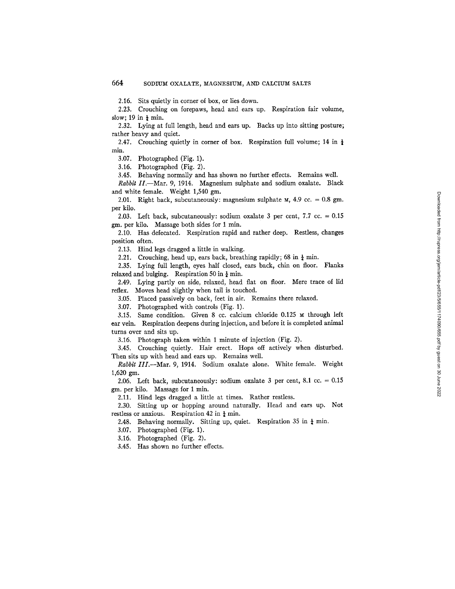2.16. Sits quietly in corner of box, or lies down.

2.23. Crouching on forepaws, head and ears up. Respiration fair volume, slow; 19 in  $\frac{1}{2}$  min.

2.32. Lying at full length, head and ears up. Backs up into sitting posture; rather heavy and quiet.

2.47. Crouching quietly in corner of box. Respiration full volume; 14 in  $\frac{1}{2}$ min.

3.07. Photographed (Fig. 1).

3.16. Photographed (Fig. 2).

3.45. Behaving normally and has shown no further effects. Remains well.

*Rabbit II.*—Mar. 9, 1914. Magnesium sulphate and sodium oxalate. Black and white female. Weight 1,540 gm.

2.01. Right back, subcutaneously: magnesium sulphate  $M$ , 4.9 cc. = 0.8 gm. per kilo.

2.03. Left back, subcutaneously: sodium oxalate 3 per cent, 7.7 cc.  $= 0.15$ gm. per kilo. Massage both sides for 1 min.

2.10. Has defecated. Respiration rapid and rather deep. Restless, changes position often.

2.13. Hind legs dragged a little in walking.

2.21. Crouching, head up, ears back, breathing rapidly;  $68$  in  $\frac{1}{2}$  min.

2.35. Lying full length, eyes half closed, ears back, chin on floor. Flanks relaxed and bulging. Respiration 50 in  $\frac{1}{4}$  min.

2.49. Lying partly on side, relaxed, head flat on floor. Mere trace of lid reflex. Moves head slightly when tail is touched.

3.05. Placed passively on back, feet in air. Remains there relaxed.

3.07. Photographed with controls (Fig. 1).

3.15. Same condition. Given 8 cc. calcium chloride  $0.125$   $\times$  through left ear vein. Respiration deepens during injection, and before it is completed animal turns over and sits up.

3.16. Photograph taken within 1 minute of injection (Fig. 2).

3.45. Crouching quietly. Hair erect. Hops off actively when disturbed. Then sits up with head and ears up. Remains well.

*Rabbit///.--Mar.* 9, 1914. Sodium oxalate alone. White female. Weight 1,620 gm.

2.06. Left back, subcutaneously: sodium oxalate 3 per cent, 8.1 cc.  $= 0.15$ gm. per kilo. Massage for 1 min.

2.11. Hind legs dragged a little at times. Rather restless.

2.30. Sitting up or hopping around naturally. Head and ears up. Not restless or anxious. Respiration 42 in  $\frac{1}{4}$  min.

2.48. Behaving normally. Sitting up, quiet. Respiration 35 in  $\frac{1}{4}$  min.

3.07. Photographed (Fig. 1).

3.16. Photographed (Fig. 2).

3.45. Has shown no further effects.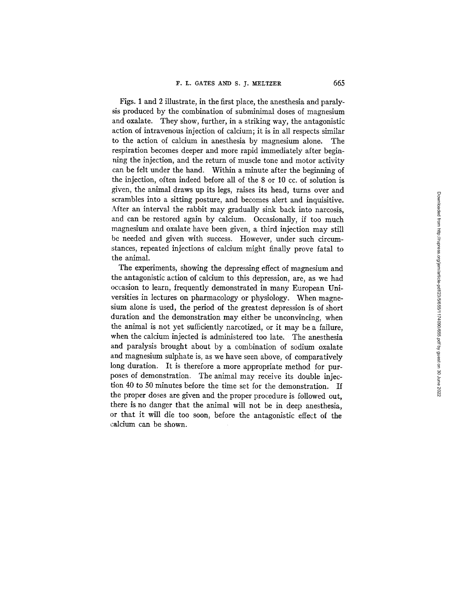Figs. 1 and 2 illustrate, in the first place, the anesthesia and paralysis produced by the combination of subminimal doses of magnesium and oxalate. They show, further, in a striking way, the antagonistic action of intravenous injection of calcium; it is in all respects similar to the action of calcium in anesthesia by magnesium alone. The respiration becomes deeper and more rapid immediately after beginning the injection, and the return of muscle tone and motor activity can be felt under the hand. Within a minute after the beginning of the injection, often indeed before all of the 8 or 10 cc. of solution is given, the animal draws up its legs, raises its head, turns over and scrambles into a sitting posture, and becomes alert and inquisitive. After an interval the rabbit may gradually sink back into narcosis, and can be restored again by calcium. Occasionally, if too much magnesium and oxalate have been given, a third injection may still be needed and given with success. However, under such circumstances, repeated injections of calcium might finally prove fatal to the animal.

The experiments, showing the depressing effect of magnesium and the antagonistic action of calcium to this depression, are, as we had occasion to learn, frequently demonstrated in many European Universities in lectures on pharmacology or physiology. When magnesium alone is used, the period of the greatest depression is of short duration and the demonstration may either be unconvincing, when the animal is not yet sufficiently narcotized, or it may be a failure, when the calcium injected is administered too late. The anesthesia and paralysis brought about by a combination of sodium oxalate and magnesium sulphate is, as we have seen above, of comparatively long duration. It is therefore a more appropriate method for purposes of demonstration. The animal may receive its double injection 40 to 50 minutes before the time set for the demonstration. If the proper doses are given and the proper procedure is followed out, there is no danger that the animal will not be in deep anesthesia, or that it will die too soon, before the antagonistic effect of the calcium can be shown.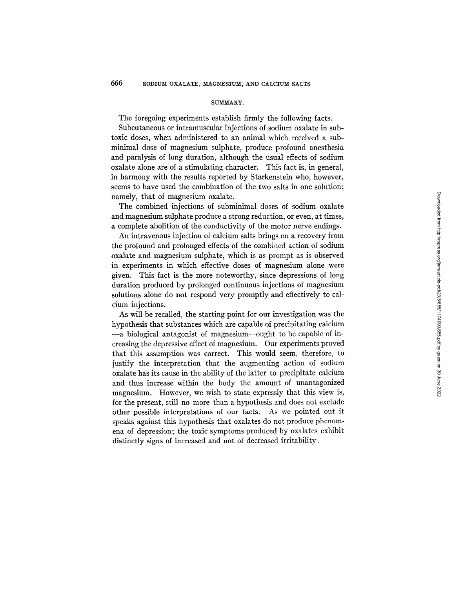### SUMMARY.

The foregoing experiments establish firmly the following facts.

Subcutaneous or intramuscular injections of sodium oxalate in subtoxic doses, when administered to an animal which received a subminimal dose of magnesium sulphate, produce profound anesthesia and paralysis of long duration, although the usual effects of sodium oxalate alone are of a stimulating character. This fact is, in general, in harmony with the results reported by Starkenstein who, however, seems to have used the combination of the two salts in one solution; namely, that of magnesium oxalate.

The combined injections of subminimal doses of sodium oxalate and magnesium sulphate produce a strong reduction, or even, at times, a complete abolition of the conductivity of the motor nerve endings.

An intravenous injection of calcium salts brings on a recovery from the profound and prolonged effects of the combined action of sodium oxalate and magnesium sulphate, which is as prompt as is observed in experiments in which effective doses of magnesium alone were given. This fact is the more noteworthy, since depressions of long duration produced by prolonged continuous injections of magnesium solutions alone do not respond very promptly and effectively to calcium injections.

As will be recalled, the starting point for our investigation was the hypothesis that substances which are capable of precipitating calcium  $-a$  biological antagonist of magnesium--ought to be capable of increasing the depressive effect of magnesium. Our experiments proved that this assumption was correct. This would seem, therefore, to justify the interpretation that the augmenting action of sodium oxalate has its cause in the ability of the latter to precipitate calcium and thus increase within the body the amount of unantagonized magnesium. However, we wish to state expressly that this view is, for the present, still no more than a hypothesis and does not exclude other possible interpretations of our facts. As we pointed out it speaks against this hypothesis that oxalates do not produce phenomena of depression; the toxic symptoms produced by oxalates exhibit distinctly signs of increased and not of decreased irritability.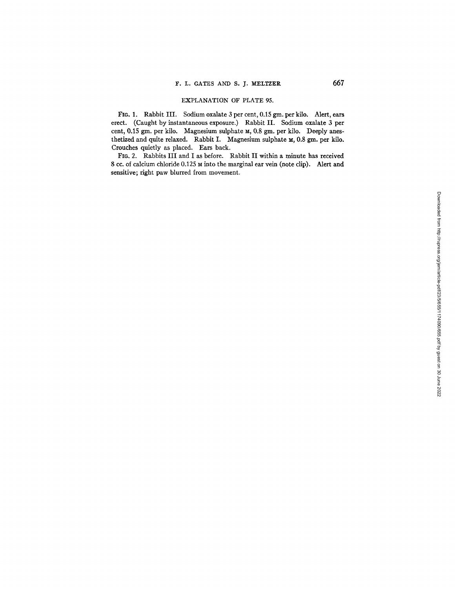### EXPLANATION OF PLATE 95.

FIG. 1. Rabbit IIL Sodium oxalate 3 per cent, 0.15 gm. per kilo. Alert, ears erect. (Caught by instantaneous exposure.) Rabbit II. Sodium oxalate 3 per cent, 0.15 gm. per kilo. Magnesium sulphate  $x$ , 0.8 gm. per kilo. Deeply anesthetized and quite relaxed. Rabbit I. Magnesium sulphate  $x$ , 0.8 gm. per kilo. Crouches quietly as placed. Ears back.

FIG. 2. Rabbits III and I as before. Rabbit II within a minute has received 8 cc. of calcium chloride 0.125  $\text{M}$  into the marginal ear vein (note clip). Alert and sensitive; right paw blurred from movement.